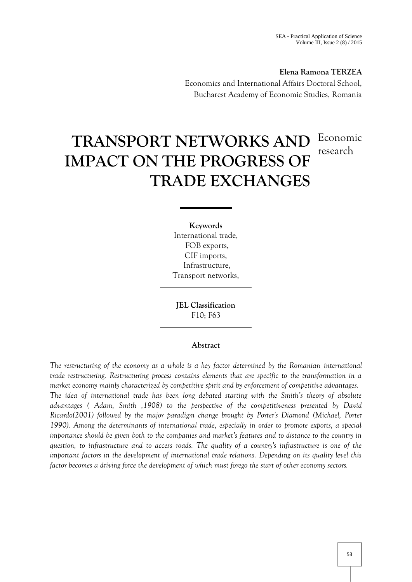# **Elena Ramona TERZEA**

Economics and International Affairs Doctoral School, Bucharest Academy of Economic Studies, Romania

# **TRANSPORT NETWORKS AND** Economic **IMPACT ON THE PROGRESS OF TRADE EXCHANGES** research

**Keywords** International trade, FOB exports, CIF imports, Infrastructure, Transport networks,

**JEL Classification** F10; F63

# **Abstract**

*The restructuring of the economy as a whole is a key factor determined by the Romanian international trade restructuring. Restructuring process contains elements that are specific to the transformation in a market economy mainly characterized by competitive spirit and by enforcement of competitive advantages. The idea of international trade has been long debated starting with the Smith's theory of absolute advantages ( Adam, Smith ,1908) to the perspective of the competitiveness presented by David Ricardo(2001) followed by the major paradigm change brought by Porter's Diamond (Michael, Porter 1990). Among the determinants of international trade, especially in order to promote exports, a special importance should be given both to the companies and market's features and to distance to the country in question, to infrastructure and to access roads. The quality of a country's infrastructure is one of the important factors in the development of international trade relations. Depending on its quality level this factor becomes a driving force the development of which must forego the start of other economy sectors.*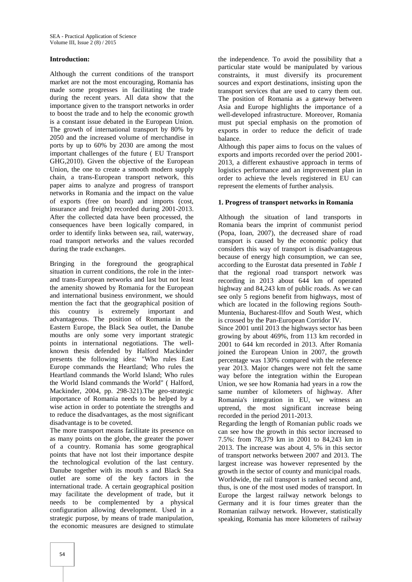### **Introduction:**

Although the current conditions of the transport market are not the most encouraging, Romania has made some progresses in facilitating the trade during the recent years. All data show that the importance given to the transport networks in order to boost the trade and to help the economic growth is a constant issue debated in the European Union. The growth of international transport by 80% by 2050 and the increased volume of merchandise in ports by up to 60% by 2030 are among the most important challenges of the future ( EU Transport GHG,2010). Given the objective of the European Union, the one to create a smooth modern supply chain, a trans-European transport network, this paper aims to analyze and progress of transport networks in Romania and the impact on the value of exports (free on board) and imports (cost, insurance and freight) recorded during 2001-2013. After the collected data have been processed, the consequences have been logically compared, in order to identify links between sea, rail, waterway, road transport networks and the values recorded during the trade exchanges.

Bringing in the foreground the geographical situation in current conditions, the role in the inter and trans-European networks and last but not least the amenity showed by Romania for the European and international business environment, we should mention the fact that the geographical position of this country is extremely important and advantageous. The position of Romania in the Eastern Europe, the Black Sea outlet, the Danube mouths are only some very important strategic points in international negotiations. The well known thesis defended by Halford Mackinder presents the following idea: "Who rules East Europe commands the Heartland; Who rules the Heartland commands the World Island; Who rules the World Island commands the World" ( Halford, Mackinder, 2004, pp. 298-321).The geo-strategic importance of Romania needs to be helped by a wise action in order to potentiate the strengths and to reduce the disadvantages, as the most significant disadvantage is to be coveted.

The more transport means facilitate its presence on as many points on the globe, the greater the power of a country. Romania has some geographical points that have not lost their importance despite the technological evolution of the last century. Danube together with its mouth s and Black Sea outlet are some of the key factors in the international trade. A certain geographical position may facilitate the development of trade, but it needs to be complemented by a physical configuration allowing development. Used in a strategic purpose, by means of trade manipulation, the economic measures are designed to stimulate

the independence. To avoid the possibility that a particular state would be manipulated by various constraints, it must diversify its procurement sources and export destinations, insisting upon the transport services that are used to carry them out. The position of Romania as a gateway between Asia and Europe highlights the importance of a well-developed infrastructure. Moreover, Romania must put special emphasis on the promotion of exports in order to reduce the deficit of trade balance.

Although this paper aims to focus on the values of exports and imports recorded over the period 2001- 2013, a different exhaustive approach in terms of logistics performance and an improvement plan in order to achieve the levels registered in EU can represent the elements of further analysis.

#### **1. Progress of transport networks in Romania**

Although the situation of land transports in Romania bears the imprint of communist period (Popa, Ioan, 2007), the decreased share of road transport is caused by the economic policy that considers this way of transport is disadvantageous because of energy high consumption, we can see, according to the Eurostat data presented in *Table 1* that the regional road transport network was recording in 2013 about 644 km of operated highway and 84,243 km of public roads. As we can see only 5 regions benefit from highways, most of which are located in the following regions South- Muntenia, Bucharest-Ilfov and South West, which is crossed by the Pan-European Corridor IV.

Since 2001 until 2013 the highways sector has been growing by about 469%, from 113 km recorded in 2001 to 644 km recorded in 2013. After Romania joined the European Union in 2007, the growth percentage was 130% compared with the reference year 2013. Major changes were not felt the same way before the integration within the European Union, we see how Romania had years in a row the same number of kilometers of highway. After Romania's integration in EU, we witness an uptrend, the most significant increase being recorded in the period 2011-2013.

Regarding the length of Romanian public roads we can see how the growth in this sector increased to 7.5%: from 78,379 km in 2001 to 84,243 km in 2013. The increase was about 4, 5% in this sector of transport networks between 2007 and 2013. The largest increase was however represented by the growth in the sector of county and municipal roads. Worldwide, the rail transport is ranked second and, thus, is one of the most used modes of transport. In Europe the largest railway network belongs to Germany and it is four times greater than the Romanian railway network. However, statistically speaking, Romania has more kilometers of railway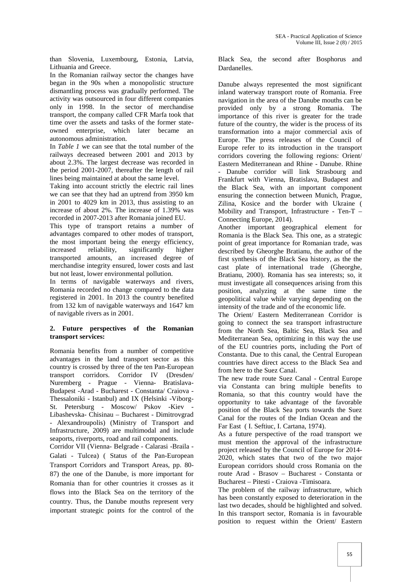than Slovenia, Luxembourg, Estonia, Latvia, Lithuania and Greece.

In the Romanian railway sector the changes have began in the 90s when a monopolistic structure dismantling process was gradually performed. The activity was outsourced in four different companies only in 1998. In the sector of merchandise transport, the company called CFR Marfa took that time over the assets and tasks of the former state owned enterprise, which later became an autonomous administration.

In *Table 1* we can see that the total number of the railways decreased between 2001 and 2013 by about 2.3%. The largest decrease was recorded in the period 2001-2007, thereafter the length of rail lines being maintained at about the same level.

Taking into account strictly the electric rail lines we can see that they had an uptrend from 3950 km in 2001 to 4029 km in 2013, thus assisting to an increase of about 2%. The increase of 1.39% was recorded in 2007-2013 after Romania joined EU.

This type of transport retains a number of advantages compared to other modes of transport, the most important being the energy efficiency, increased reliability, significantly higher transported amounts, an increased degree of merchandise integrity ensured, lower costs and last but not least, lower environmental pollution.

In terms of navigable waterways and rivers, Romania recorded no change compared to the data registered in 2001. In 2013 the country benefited from 132 km of navigable waterways and 1647 km of navigable rivers as in 2001.

# **2. Future perspectives of the Romanian transport services:**

Romania benefits from a number of competitive advantages in the land transport sector as this country is crossed by three of the ten Pan-European transport corridors. Corridor IV (Dresden/ Nuremberg - Prague - Vienna- Bratislava- Budapest -Arad - Bucharest - Constanta/ Craiova - Thessaloniki - Istanbul) and IX (Helsinki -Viborg- St. Petersburg - Moscow/ Pskov -Kiev - Libashevska- Chisinau – Bucharest - Dimitrovgrad - Alexandroupolis) (Ministry of Transport and Infrastructure, 2009) are multimodal and include seaports, riverports, road and rail components.

Corridor VII (Vienna- Belgrade - Calarasi -Braila - Galati - Tulcea) ( Status of the Pan-European Transport Corridors and Transport Areas, pp. 80- 87) the one of the Danube, is more important for Romania than for other countries it crosses as it flows into the Black Sea on the territory of the country. Thus, the Danube mouths represent very important strategic points for the control of the

Black Sea, the second after Bosphorus and Dardanelles.

Danube always represented the most significant inland waterway transport route of Romania. Free navigation in the area of the Danube mouths can be provided only by a strong Romania. The importance of this river is greater for the trade future of the country, the wider is the process of its transformation into a major commercial axis of Europe. The press releases of the Council of Europe refer to its introduction in the transport corridors covering the following regions: Orient/ Eastern Mediterranean and Rhine - Danube. Rhine - Danube corridor will link Strasbourg and Frankfurt with Vienna, Bratislava, Budapest and the Black Sea, with an important component ensuring the connection between Munich, Prague, Zilina, Kosice and the border with Ukraine ( Mobility and Transport, Infrastructure - Ten-T – Connecting Europe, 2014).

Another important geographical element for Romania is the Black Sea. This one, as a strategic point of great importance for Romanian trade, was described by Gheorghe Bratianu, the author of the first synthesis of the Black Sea history, as the the cast plate of international trade (Gheorghe, Bratianu, 2000). Romania has sea interests; so, it must investigate all consequences arising from this position, analyzing at the same time the geopolitical value while varying depending on the intensity of the trade and of the economic life.

The Orient/ Eastern Mediterranean Corridor is going to connect the sea transport infrastructure from the North Sea, Baltic Sea, Black Sea and Mediterranean Sea, optimizing in this way the use of the EU countries ports, including the Port of Constanta. Due to this canal, the Central European countries have direct access to the Black Sea and from here to the Suez Canal.

The new trade route Suez Canal - Central Europe via Constanta can bring multiple benefits to Romania, so that this country would have the opportunity to take advantage of the favorable position of the Black Sea ports towards the Suez Canal for the routes of the Indian Ocean and the Far East ( I. Seftiuc, I. Cartana, 1974).

As a future perspective of the road transport we must mention the approval of the infrastructure project released by the Council of Europe for 2014- 2020, which states that two of the two major European corridors should cross Romania on the route Arad - Brasov – Bucharest - Constanta or Bucharest – Pitesti - Craiova -Timisoara.

The problem of the railway infrastructure, which has been constantly exposed to deterioration in the last two decades, should be highlighted and solved. In this transport sector, Romania is in favourable position to request within the Orient/ Eastern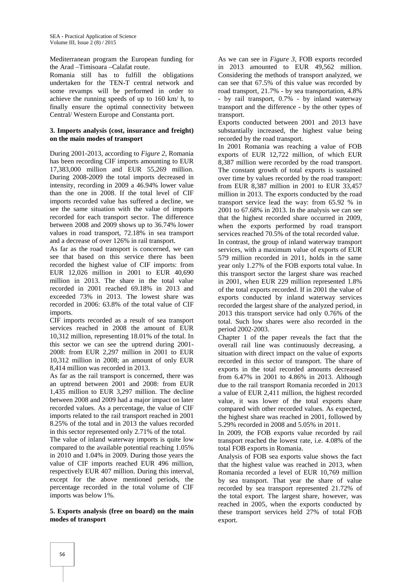Mediterranean program the European funding for the Arad –Timisoara –Calafat route.

Romania still has to fulfill the obligations undertaken for the TEN-T central network and some revamps will be performed in order to achieve the running speeds of up to 160 km/ h, to finally ensure the optimal connectivity between Central/ Western Europe and Constanta port.

### **3. Imports analysis (cost, insurance and freight) on the main modes of transport**

During 2001-2013, according to *Figure 2*, Romania has been recording CIF imports amounting to EUR 17,383,000 million and EUR 55,269 million. During 2008-2009 the total imports decreased in intensity, recording in 2009 a 46.94% lower value than the one in 2008. If the total level of CIF imports recorded value has suffered a decline, we see the same situation with the value of imports recorded for each transport sector. The difference between 2008 and 2009 shows up to 36.74% lower values in road transport, 72.18% in sea transport and a decrease of over 126% in rail transport.

As far as the road transport is concerned, we can see that based on this service there has been recorded the highest value of CIF imports: from EUR 12,026 million in 2001 to EUR 40,690 million in 2013. The share in the total value recorded in 2001 reached 69.18% in 2013 and exceeded 73% in 2013. The lowest share was recorded in 2006: 63.8% of the total value of CIF imports.

CIF imports recorded as a result of sea transport services reached in 2008 the amount of EUR 10,312 million, representing 18.01% of the total. In this sector we can see the uptrend during 2001- 2008: from EUR 2,297 million in 2001 to EUR 10,312 million in 2008; an amount of only EUR 8,414 million was recorded in 2013.

As far as the rail transport is concerned, there was an uptrend between 2001 and 2008: from EUR 1,435 million to EUR 3,297 million. The decline between 2008 and 2009 had a major impact on later recorded values. As a percentage, the value of CIF imports related to the rail transport reached in 2001 8.25% of the total and in 2013 the values recorded in this sector represented only 2.71% of the total.

The value of inland waterway imports is quite low compared to the available potential reaching 1.05% in 2010 and 1.04% in 2009. During those years the value of CIF imports reached EUR 496 million, respectively EUR 407 million. During this interval, except for the above mentioned periods, the percentage recorded in the total volume of CIF imports was below 1%.

#### **5. Exports analysis (free on board) on the main modes of transport**

As we can see in *Figure 3*, FOB exports recorded in 2013 amounted to EUR 49,562 million. Considering the methods of transport analyzed, we can see that 67.5% of this value was recorded by road transport, 21.7% - by sea transportation, 4.8% - by rail transport, 0.7% - by inland waterway transport and the difference - by the other types of transport.

Exports conducted between 2001 and 2013 have substantially increased, the highest value being recorded by the road transport.

In 2001 Romania was reaching a value of FOB exports of EUR 12,722 million, of which EUR 8,387 million were recorded by the road transport. The constant growth of total exports is sustained over time by values recorded by the road transport: from EUR 8,387 million in 2001 to EUR 33,457 million in 2013. The exports conducted by the road transport service lead the way: from 65.92 % in 2001 to 67.68% in 2013. In the analysis we can see that the highest recorded share occurred in 2009, when the exports performed by road transport services reached 70.5% of the total recorded value.

In contrast, the group of inland waterway transport services, with a maximum value of exports of EUR 579 million recorded in 2011, holds in the same year only 1.27% of the FOB exports total value. In this transport sector the largest share was reached in 2001, when EUR 229 million represented 1.8% of the total exports recorded. If in 2001 the value of exports conducted by inland waterway services recorded the largest share of the analyzed period, in 2013 this transport service had only 0.76% of the total. Such low shares were also recorded in the period 2002-2003.

Chapter 1 of the paper reveals the fact that the overall rail line was continuously decreasing, a situation with direct impact on the value of exports recorded in this sector of transport. The share of exports in the total recorded amounts decreased from 6.47% in 2001 to 4.86% in 2013. Although due to the rail transport Romania recorded in 2013 a value of EUR 2,411 million, the highest recorded value, it was lower of the total exports share compared with other recorded values. As expected, the highest share was reached in 2001, followed by 5.29% recorded in 2008 and 5.05% in 2011.

In 2009, the FOB exports value recorded by rail transport reached the lowest rate, i.e. 4.08% of the total FOB exports in Romania.

Analysis of FOB sea exports value shows the fact that the highest value was reached in 2013, when Romania recorded a level of EUR 10,769 million by sea transport. That year the share of value recorded by sea transport represented 21.72% of the total export. The largest share, however, was reached in 2005, when the exports conducted by these transport services held 27% of total FOB export.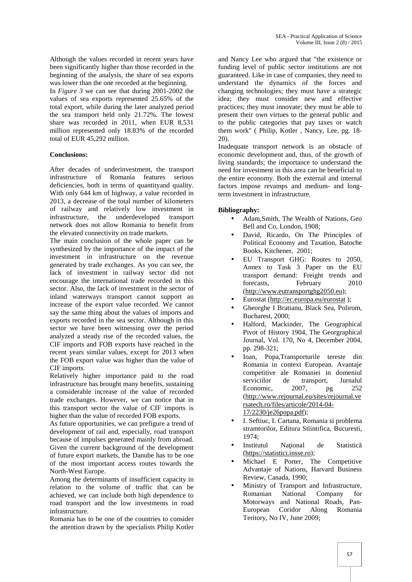Although the values recorded in recent years have been significantly higher than those recorded in the beginning of the analysis, the share of sea exports was lower than the one recorded at the beginning.

In *Figure 3* we can see that during 2001-2002 the values of sea exports represented 25.65% of the total export, while during the later analyzed period the sea transport held only 21.72%. The lowest share was recorded in 2011, when EUR 8,531 million represented only 18.83% of the recorded total of EUR 45,292 million.

# **Conclusions:**

After decades of underinvestment, the transport infrastructure of Romania features serious deficiencies, both in terms of quantityand quality. With only 644 km of highway, a value recorded in 2013, a decrease of the total number of kilometers of railway and relatively low investment in infrastructure, the underdeveloped transport network does not allow Romania to benefit from the elevated connectivity on trade markets.

The main conclusion of the whole paper can be synthesized by the importance of the impact of the investment in infrastructure on the revenue generated by trade exchanges. As you can see, the lack of investment in railway sector did not encourage the international trade recorded in this sector. Also, the lack of investment in the sector of inland waterways transport cannot support an increase of the export value recorded. We cannot say the same thing about the values of imports and exports recorded in the sea sector. Although in this sector we have been witnessing over the period analyzed a steady rise of the recorded values, the CIF imports and FOB exports have reached in the recent years similar values, except for 2013 when the FOB export value was higher than the value of CIF imports.

Relatively higher importance paid to the road infrastructure has brought many benefits, sustaining a considerable increase of the value of recorded trade exchanges. However, we can notice that in this transport sector the value of CIF imports is higher than the value of recorded FOB exports.

As future opportunities, we can prefigure a trend of development of rail and, especially, road transport because of impulses generated mainly from abroad. Given the current background of the development of future export markets, the Danube has to be one of the most important access routes towards the North-West Europe.

Among the determinants of insufficient capacity in relation to the volume of traffic that can be achieved, we can include both high dependence to road transport and the low investments in road infrastructure.

Romania has to be one of the countries to consider the attention drawn by the specialists Philip Kotler

and Nancy Lee who argued that "the existence or funding level of public sector institutions are not guaranteed. Like in case of companies, they need to understand the dynamics of the forces and changing technologies; they must have a strategic idea; they must consider new and effective practices; they must innovate; they must be able to present their own virtues to the general public and to the public categories that pay taxes or watch them work" ( Philip, Kotler , Nancy, Lee, pg. 18- 20).

Inadequate transport network is an obstacle of economic development and, thus, of the growth of living standards; the importance to understand the need for investment in this area can be beneficial to the entire economy. Both the external and internal factors impose revamps and medium- and longterm investment in infrastructure.

# **Bibliography:**

- Adam, Smith, The Wealth of Nations, Geo Bell and Co, London, 1908;
- David, Ricardo, On The Principles of Political Economy and Taxation, Batoche Books, Kitchener, 2001;
- EU Transport GHG: Routes to 2050, Annex to Task 3 Paper on the EU transport demand: Freight trends and forecasts, February 2010 (http://www.eutransportghg2050.eu);
- Eurostat (http://ec.europa.eu/eurostat );
- Gheorghe I Bratianu, Black Sea, Polirom, Bucharest, 2000;
- Halford, Mackinder, The Geographical Pivot of History 1904, The Georgraphical Journal, Vol. 170, No 4, December 2004, pp. 298-321;
- Ioan, Popa,Transporturile tereste din Romania in context European. Avantaje competitive ale Romaniei in domeniul serviciilor de transport, Jurnalul Economic, 2007, pg 252 (http://www.rejournal.eu/sites/rejournal.ve rsatech.ro/files/articole/2014-04- 17/2230/je26popa.pdf);
- I. Seftiuc, I. Cartana, Romania si problema stramtorilor, Editura Stiintifica, Bucuresti, 1974;
- Institutul Na<sub>ional</sub> de Statistic (https://statistici.insse.ro);
- Michael E Porter, The Competitive Advantaje of Nations, Harvard Business Review, Canada, 1990;
- Ministry of Transport and Infrastructure, Romanian National Company for Motorways and National Roads, Pan- European Coridor Along Romania Teritory, No IV, June 2009;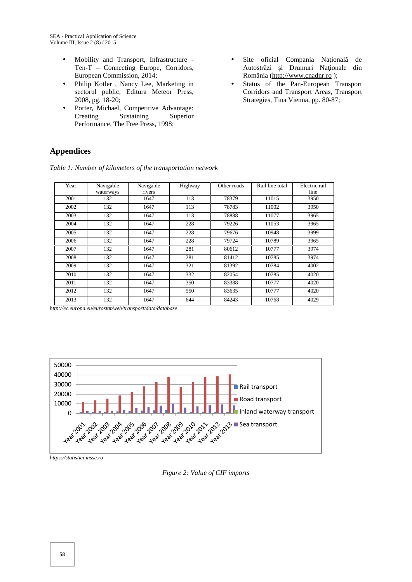- Mobility and Transport, Infrastructure Ten-T – Connecting Europe, Corridors, European Commission, 2014;
- Philip Kotler , Nancy Lee, Marketing in sectorul public, Editura Meteor Press, 2008, pg. 18-20;
- Porter, Michael, Competitive Advantage: Creating Sustaining Superior Performance, The Free Press, 1998;
- Site oficial Compania Na ional de Autostr zi i Drumuri Na ionale din România (http://www.cnadnr.ro );
- Status of the Pan-European Transport Corridors and Transport Areas, Transport Strategies, Tina Vienna, pp. 80-87;

# **Appendices**

| Year | Navigable<br>waterways | Navigable<br>rivers | Highway | Other roads | Rail line total | Electric rail<br>line |
|------|------------------------|---------------------|---------|-------------|-----------------|-----------------------|
| 2001 | 132                    | 1647                | 113     | 78379       | 11015           | 3950                  |
| 2002 | 132                    | 1647                | 113     | 78783       | 11002           | 3950                  |
| 2003 | 132                    | 1647                | 113     | 78888       | 11077           | 3965                  |
| 2004 | 132                    | 1647                | 228     | 79226       | 11053           | 3965                  |
| 2005 | 132                    | 1647                | 228     | 79676       | 10948           | 3999                  |
| 2006 | 132                    | 1647                | 228     | 79724       | 10789           | 3965                  |
| 2007 | 132                    | 1647                | 281     | 80612       | 10777           | 3974                  |
| 2008 | 132                    | 1647                | 281     | 81412       | 10785           | 3974                  |
| 2009 | 132                    | 1647                | 321     | 81392       | 10784           | 4002                  |
| 2010 | 132                    | 1647                | 332     | 82054       | 10785           | 4020                  |
| 2011 | 132                    | 1647                | 350     | 83388       | 10777           | 4020                  |
| 2012 | 132                    | 1647                | 550     | 83635       | 10777           | 4020                  |
| 2013 | 132                    | 1647                | 644     | 84243       | 10768           | 4029                  |

*Table 1: Number of kilometers of the transportation network*

*http://ec.europa.eu/eurostat/web/transport/data/database*